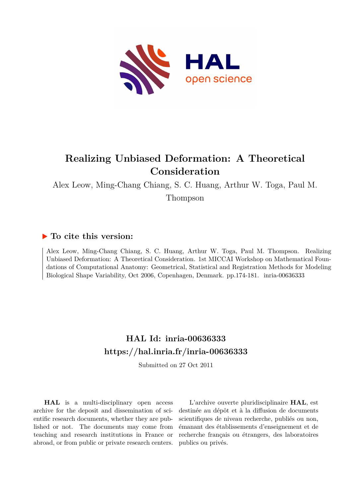

## **Realizing Unbiased Deformation: A Theoretical Consideration**

Alex Leow, Ming-Chang Chiang, S. C. Huang, Arthur W. Toga, Paul M. Thompson

### **To cite this version:**

Alex Leow, Ming-Chang Chiang, S. C. Huang, Arthur W. Toga, Paul M. Thompson. Realizing Unbiased Deformation: A Theoretical Consideration. 1st MICCAI Workshop on Mathematical Foundations of Computational Anatomy: Geometrical, Statistical and Registration Methods for Modeling Biological Shape Variability, Oct 2006, Copenhagen, Denmark. pp.174-181. inria-00636333

## **HAL Id: inria-00636333 <https://hal.inria.fr/inria-00636333>**

Submitted on 27 Oct 2011

**HAL** is a multi-disciplinary open access archive for the deposit and dissemination of scientific research documents, whether they are published or not. The documents may come from teaching and research institutions in France or abroad, or from public or private research centers.

L'archive ouverte pluridisciplinaire **HAL**, est destinée au dépôt et à la diffusion de documents scientifiques de niveau recherche, publiés ou non, émanant des établissements d'enseignement et de recherche français ou étrangers, des laboratoires publics ou privés.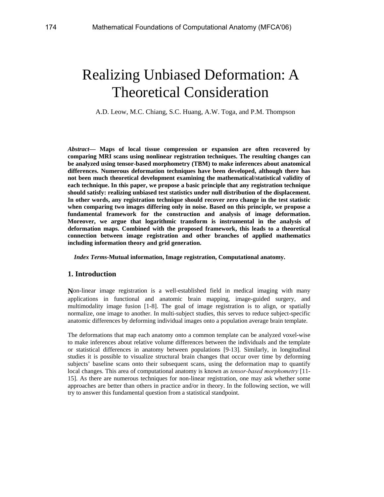# Realizing Unbiased Deformation: A Theoretical Consideration

A.D. Leow, M.C. Chiang, S.C. Huang, A.W. Toga, and P.M. Thompson

*Abstract***— Maps of local tissue compression or expansion are often recovered by comparing MRI scans using nonlinear registration techniques. The resulting changes can be analyzed using tensor-based morphometry (TBM) to make inferences about anatomical differences. Numerous deformation techniques have been developed, although there has not been much theoretical development examining the mathematical/statistical validity of each technique. In this paper, we propose a basic principle that any registration technique should satisfy: realizing unbiased test statistics under null distribution of the displacement. In other words, any registration technique should recover zero change in the test statistic when comparing two images differing only in noise. Based on this principle, we propose a fundamental framework for the construction and analysis of image deformation. Moreover, we argue that logarithmic transform is instrumental in the analysis of deformation maps. Combined with the proposed framework, this leads to a theoretical connection between image registration and other branches of applied mathematics including information theory and grid generation.** 

#### *Index Terms***-Mutual information, Image registration, Computational anatomy.**

#### **1. Introduction**

**N**on-linear image registration is a well-established field in medical imaging with many applications in functional and anatomic brain mapping, image-guided surgery, and multimodality image fusion [1-8]. The goal of image registration is to align, or spatially normalize, one image to another. In multi-subject studies, this serves to reduce subject-specific anatomic differences by deforming individual images onto a population average brain template.

The deformations that map each anatomy onto a common template can be analyzed voxel-wise to make inferences about relative volume differences between the individuals and the template or statistical differences in anatomy between populations [9-13]. Similarly, in longitudinal studies it is possible to visualize structural brain changes that occur over time by deforming subjects' baseline scans onto their subsequent scans, using the deformation map to quantify local changes. This area of computational anatomy is known as *tensor-based morphometry* [11- 15]. As there are numerous techniques for non-linear registration, one may ask whether some approaches are better than others in practice and/or in theory. In the following section, we will try to answer this fundamental question from a statistical standpoint.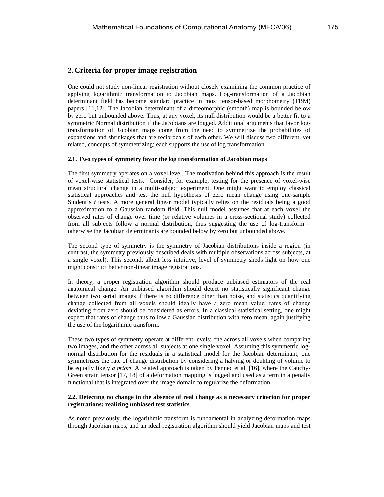One could not study non-linear registration without closely examining the common practice of applying logarithmic transformation to Jacobian maps. Log-transformation of a Jacobian determinant field has become standard practice in most tensor-based morphometry (TBM) papers [11,12]. The Jacobian determinant of a diffeomorphic (smooth) map is bounded below by zero but unbounded above. Thus, at any voxel, its null distribution would be a better fit to a symmetric Normal distribution if the Jacobians are logged. Additional arguments that favor logtransformation of Jacobian maps come from the need to symmetrize the probabilities of expansions and shrinkages that are reciprocals of each other. We will discuss two different, yet related, concepts of symmetrizing; each supports the use of log transformation.

#### **2.1. Two types of symmetry favor the log transformation of Jacobian maps**

The first symmetry operates on a voxel level. The motivation behind this approach is the result of voxel-wise statistical tests. Consider, for example, testing for the presence of voxel-wise mean structural change in a multi-subject experiment. One might want to employ classical statistical approaches and test the null hypothesis of zero mean change using one-sample Student's *t* tests. A more general linear model typically relies on the residuals being a good approximation to a Gaussian random field. This null model assumes that at each voxel the observed rates of change over time (or relative volumes in a cross-sectional study) collected from all subjects follow a normal distribution, thus suggesting the use of log-transform – otherwise the Jacobian determinants are bounded below by zero but unbounded above.

The second type of symmetry is the symmetry of Jacobian distributions inside a region (in contrast, the symmetry previously described deals with multiple observations across subjects, at a single voxel). This second, albeit less intuitive, level of symmetry sheds light on how one might construct better non-linear image registrations.

In theory, a proper registration algorithm should produce unbiased estimators of the real anatomical change. An unbiased algorithm should detect no statistically significant change between two serial images if there is no difference other than noise, and statistics quantifying change collected from all voxels should ideally have a zero mean value; rates of change deviating from zero should be considered as errors. In a classical statistical setting, one might expect that rates of change thus follow a Gaussian distribution with zero mean, again justifying the use of the logarithmic transform.

These two types of symmetry operate at different levels: one across all voxels when comparing two images, and the other across all subjects at one single voxel. Assuming this symmetric lognormal distribution for the residuals in a statistical model for the Jacobian determinant, one symmetrizes the rate of change distribution by considering a halving or doubling of volume to be equally likely *a priori.* A related approach is taken by Pennec et al. [16], where the Cauchy-Green strain tensor [17, 18] of a deformation mapping is logged and used as a term in a penalty functional that is integrated over the image domain to regularize the deformation.

#### **2.2. Detecting no change in the absence of real change as a necessary criterion for proper registrations: realizing unbiased test statistics**

As noted previously, the logarithmic transform is fundamental in analyzing deformation maps through Jacobian maps, and an ideal registration algorithm should yield Jacobian maps and test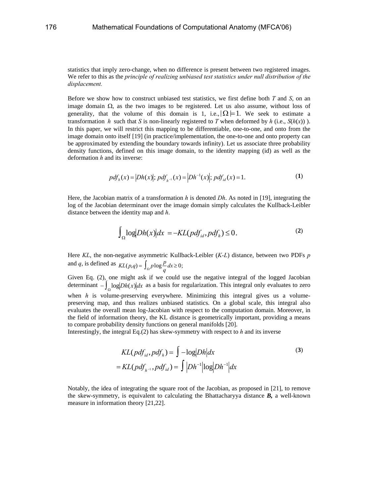statistics that imply zero-change, when no difference is present between two registered images. We refer to this as the *principle of realizing unbiased test statistics under null distribution of the displacement.* 

Before we show how to construct unbiased test statistics, we first define both *T* and *S*, on an image domain  $\Omega$ , as the two images to be registered. Let us also assume, without loss of generality, that the volume of this domain is 1, i.e.,  $|\Omega|=1$ . We seek to estimate a transformation *h* such that *S* is non-linearly registered to *T* when deformed by *h* (i.e.,  $S(h(x))$ ). In this paper, we will restrict this mapping to be differentiable, one-to-one, and onto from the image domain onto itself [19] (in practice/implementation, the one-to-one and onto property can be approximated by extending the boundary towards infinity). Let us associate three probability density functions, defined on this image domain, to the identity mapping (id) as well as the deformation *h* and its inverse:

$$
pdfh(x) = |Dh(x)|; pdfh-1(x) = |Dh-1(x)|; pdfid(x) = 1.
$$
 (1)

Here, the Jacobian matrix of a transformation *h* is denoted *Dh*. As noted in [19], integrating the log of the Jacobian determinant over the image domain simply calculates the Kullback-Leibler distance between the identity map and *h*.

$$
\int_{\Omega} \log |Dh(x)| dx = -KL(pdf_{id}, pdf_h) \le 0.
$$
 (2)

Here *KL*, the non-negative asymmetric Kullback-Leibler (*K-L*) distance, between two PDFs *p* and *q*, is defined as  $KL(p,q) = \int_{\Omega} p \log \frac{p}{q} dx \ge 0$ ;

Given Eq. (2), one might ask if we could use the negative integral of the logged Jacobian determinant  $-\int_{\Omega} \log |Dh(x)| dx$  as a basis for regularization. This integral only evaluates to zero when *h* is volume-preserving everywhere. Minimizing this integral gives us a volumepreserving map, and thus realizes unbiased statistics. On a global scale, this integral also evaluates the overall mean log-Jacobian with respect to the computation domain. Moreover, in the field of information theory, the KL distance is geometrically important, providing a means to compare probability density functions on general manifolds [20].

Interestingly, the integral Eq.(2) has skew-symmetry with respect to *h* and its inverse

$$
KL(pdfid, pdfh) = \int -\log |Dh| dx
$$
\n
$$
= KL(pdfh-1, pdfid) = \int |Dh-1| \log |Dh-1| dx
$$
\n(3)

Notably, the idea of integrating the square root of the Jacobian, as proposed in [21], to remove the skew-symmetry, is equivalent to calculating the Bhattacharyya distance *B,* a well-known measure in information theory [21,22].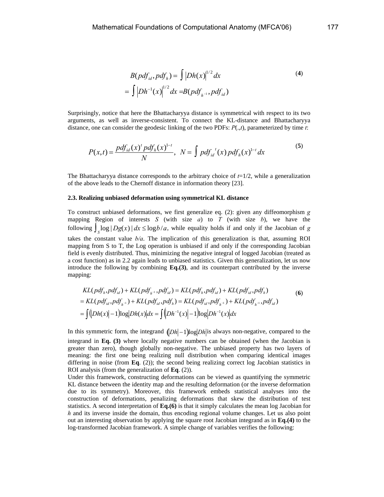$$
B(pdf_{id}, pdf_h) = \int |Dh(x)|^{1/2} dx
$$
\n
$$
= \int |Dh^{-1}(x)|^{1/2} dx = B(pdf_{h^{-1}}, pdf_{id})
$$
\n(4)

Surprisingly, notice that here the Bhattacharyya distance is symmetrical with respect to its two arguments, as well as inverse-consistent. To connect the KL-distance and Bhattacharyya distance, one can consider the geodesic linking of the two PDFs: *P*(.,*t*), parameterized by time *t*:

$$
P(x,t) = \frac{pdf_{id}(x)^{t} pdf_{h}(x)^{1-t}}{N}, \ N = \int pdf_{id}^{t}(x) pdf_{h}(x)^{1-t} dx
$$
 (5)

The Bhattacharyya distance corresponds to the arbitrary choice of  $t=1/2$ , while a generalization of the above leads to the Chernoff distance in information theory [23].

#### **2.3. Realizing unbiased deformation using symmetrical KL distance**

To construct unbiased deformations, we first generalize eq. (2): given any diffeomorphism *g* mapping Region of interests *S* (with size *a*) to *T* (with size *b*), we have the following  $\int_{S} \log |Dg(x)| dx \leq \log b/a$ , while equality holds if and only if the Jacobian of *g* takes the constant value *b/a*. The implication of this generalization is that, assuming ROI mapping from S to T, the Log operation is unbiased if and only if the corresponding Jacobian field is evenly distributed. Thus, minimizing the negative integral of logged Jacobian (treated as a cost function) as in 2.2 again leads to unbiased statistics. Given this generalization, let us now introduce the following by combining **Eq.(3)**, and its counterpart contributed by the inverse mapping:

$$
KL(pdf_h, pdf_{id}) + KL(pdf_{h^{-1}}, pdf_{id}) = KL(pdf_h, pdf_{id}) + KL(pdf_{id}, pdf_h)
$$
  
= KL(pdf\_{id}, pdf\_{h^{-1}}) + KL(pdf\_{id}, pdf\_h) = KL(pdf\_{id}, pdf\_{h^{-1}}) + KL(pdf\_{h^{-1}}, pdf\_{id})  
= 
$$
\int (|Dh(x)|-1)|\log|Dh(x)|dx = \int (|Dh^{-1}(x)|-1)|\log|Dh^{-1}(x)|dx
$$
 (6)

In this symmetric form, the integrand  $(|Dh| - 1)|\log |Dh|$  is always non-negative, compared to the integrand in **Eq. (3)** where locally negative numbers can be obtained (when the Jacobian is greater than zero), though globally non-negative. The unbiased property has two layers of meaning: the first one being realizing null distribution when comparing identical images differing in noise (from **Eq**. (2)); the second being realizing correct log Jacobian statistics in ROI analysis (from the generalization of **Eq**. (2)).

Under this framework, constructing deformations can be viewed as quantifying the symmetric KL distance between the identity map and the resulting deformation (or the inverse deformation due to its symmetry). Moreover, this framework embeds statistical analyses into the construction of deformations, penalizing deformations that skew the distribution of test statistics. A second interpretation of **Eq.(6)** is that it simply calculates the mean log Jacobian for *h* and its inverse inside the domain, thus encoding regional volume changes. Let us also point out an interesting observation by applying the square root Jacobian integrand as in **Eq.(4)** to the log-transformed Jacobian framework. A simple change of variables verifies the following: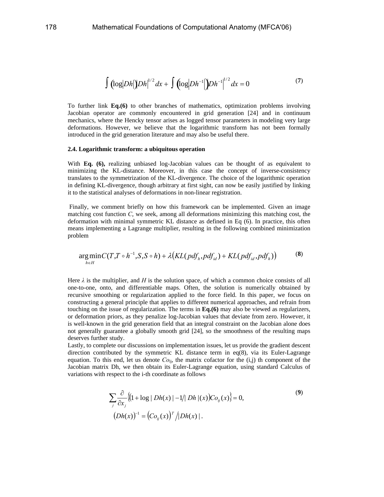$$
\int \left( \log |Dh| \right) |Dh|^{1/2} dx + \int \left( \log |Dh^{-1}| \right) |Dh^{-1}|^{1/2} dx = 0 \tag{7}
$$

To further link **Eq.(6)** to other branches of mathematics, optimization problems involving Jacobian operator are commonly encountered in grid generation [24] and in continuum mechanics, where the Hencky tensor arises as logged tensor parameters in modeling very large deformations. However, we believe that the logarithmic transform has not been formally introduced in the grid generation literature and may also be useful there.

#### **2.4. Logarithmic transform: a ubiquitous operation**

With **Eq. (6)**, realizing unbiased log-Jacobian values can be thought of as equivalent to minimizing the KL-distance. Moreover, in this case the concept of inverse-consistency translates to the symmetrization of the KL-divergence. The choice of the logarithmic operation in defining KL-divergence, though arbitrary at first sight, can now be easily justified by linking it to the statistical analyses of deformations in non-linear registration.

 Finally, we comment briefly on how this framework can be implemented. Given an image matching cost function *C*, we seek, among all deformations minimizing this matching cost, the deformation with minimal symmetric KL distance as defined in Eq (6). In practice, this often means implementing a Lagrange multiplier, resulting in the following combined minimization problem

$$
\underset{h \in H}{\arg\min} C(T, T \circ h^{-1}, S, S \circ h) + \lambda \big( KL(\text{pdf}_h, \text{pdf}_d) + KL(\text{pdf}_d, \text{pdf}_h) \big) \tag{8}
$$

Here  $\lambda$  is the multiplier, and *H* is the solution space, of which a common choice consists of all one-to-one, onto, and differentiable maps. Often, the solution is numerically obtained by recursive smoothing or regularization applied to the force field. In this paper, we focus on constructing a general principle that applies to different numerical approaches, and refrain from touching on the issue of regularization. The terms in **Eq.(6)** may also be viewed as regularizers, or deformation priors, as they penalize log-Jacobian values that deviate from zero. However, it is well-known in the grid generation field that an integral constraint on the Jacobian alone does not generally guarantee a globally smooth grid [24], so the smoothness of the resulting maps deserves further study.

Lastly, to complete our discussions on implementation issues, let us provide the gradient descent direction contributed by the symmetric KL distance term in  $eq(8)$ , via its Euler-Lagrange equation. To this end, let us denote  $Co<sub>ii</sub>$ , the matrix cofactor for the  $(i,j)$  th component of the Jacobian matrix Dh, we then obtain its Euler-Lagrange equation, using standard Calculus of variations with respect to the i-th coordinate as follows

$$
\sum_{j} \frac{\partial}{\partial x_{j}} \{(1 + \log | Dh(x) | -1/| Dh | (x))Co_{ij}(x)\} = 0,
$$
\n
$$
(Dh(x))^{-1} = (Co_{ij}(x))^T / |Dh(x)|.
$$
\n(9)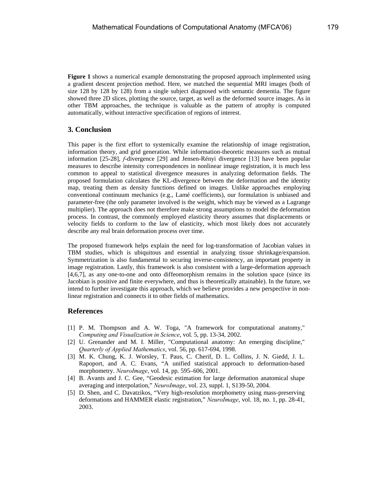**Figure 1** shows a numerical example demonstrating the proposed approach implemented using a gradient descent projection method. Here, we matched the sequential MRI images (both of size 128 by 128 by 128) from a single subject diagnosed with semantic dementia. The figure showed three 2D slices, plotting the source, target, as well as the deformed source images. As in other TBM approaches, the technique is valuable as the pattern of atrophy is computed automatically, without interactive specification of regions of interest.

#### **3. Conclusion**

This paper is the first effort to systemically examine the relationship of image registration, information theory, and grid generation. While information-theoretic measures such as mutual information [25-28], *f*-divergence [29] and Jensen-Rényi divergence [13] have been popular measures to describe intensity correspondences in nonlinear image registration, it is much less common to appeal to statistical divergence measures in analyzing deformation fields. The proposed formulation calculates the KL-divergence between the deformation and the identity map, treating them as density functions defined on images. Unlike approaches employing conventional continuum mechanics (e.g., Lamé coefficients), our formulation is unbiased and parameter-free (the only parameter involved is the weight, which may be viewed as a Lagrange multiplier). The approach does not therefore make strong assumptions to model the deformation process. In contrast, the commonly employed elasticity theory assumes that displacements or velocity fields to conform to the law of elasticity, which most likely does not accurately describe any real brain deformation process over time.

The proposed framework helps explain the need for log-transformation of Jacobian values in TBM studies, which is ubiquitous and essential in analyzing tissue shrinkage/expansion. Symmetrization is also fundamental to securing inverse-consistency, an important property in image registration. Lastly, this framework is also consistent with a large-deformation approach [4,6,7], as any one-to-one and onto diffeomorphism remains in the solution space (since its Jacobian is positive and finite everywhere, and thus is theoretically attainable). In the future, we intend to further investigate this approach, which we believe provides a new perspective in nonlinear registration and connects it to other fields of mathematics.

#### **References**

- [1] P. M. Thompson and A. W. Toga, "A framework for computational anatomy," *Computing and Visualization in Science*, vol. 5, pp. 13-34, 2002.
- [2] U. Grenander and M. I. Miller, "Computational anatomy: An emerging discipline," *Quarterly of Applied Mathematics*, vol. 56, pp. 617-694, 1998.
- [3] M. K. Chung, K. J. Worsley, T. Paus, C. Cherif, D. L. Collins, J. N. Giedd, J. L. Rapoport, and A. C. Evans, "A unified statistical approach to deformation-based morphometry. *NeuroImage*, vol. 14, pp. 595–606, 2001.
- [4] B. Avants and J. C. Gee, "Geodesic estimation for large deformation anatomical shape averaging and interpolation," *NeuroImage*, vol. 23, suppl. 1, S139-50, 2004.
- [5] D. Shen, and C. Davatzikos, "Very high-resolution morphometry using mass-preserving deformations and HAMMER elastic registration," *NeuroImage*, vol. 18, no. 1, pp. 28-41, 2003.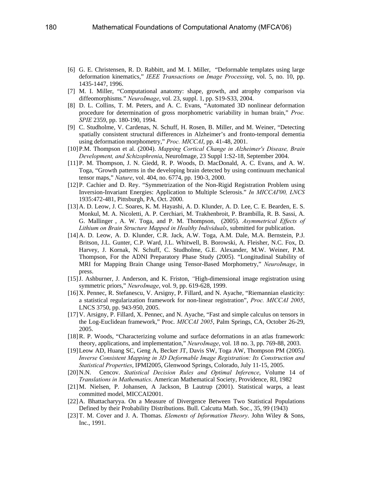- [6] G. E. Christensen, R. D. Rabbitt, and M. I. Miller, "Deformable templates using large deformation kinematics," *IEEE Transactions on Image Processing*, vol. 5, no. 10, pp. 1435-1447, 1996.
- [7] M. I. Miller, "Computational anatomy: shape, growth, and atrophy comparison via diffeomorphisms." *NeuroImage*, vol. 23, suppl. 1, pp. S19-S33, 2004.
- [8] D. L. Collins, T. M. Peters, and A. C. Evans, "Automated 3D nonlinear deformation procedure for determination of gross morphometric variability in human brain," *Proc. SPIE* 2359, pp. 180-190, 1994.
- [9] C. Studholme, V. Cardenas, N. Schuff, H. Rosen, B. Miller, and M. Weiner, "Detecting spatially consistent structural differences in Alzheimer's and fronto-temporal dementia using deformation morphometry," *Proc. MICCAI*, pp. 41-48, 2001.
- [10]P.M. Thompson et al. (2004). *Mapping Cortical Change in Alzheimer's Disease, Brain Development, and Schizophrenia*, NeuroImage, 23 Suppl 1:S2-18, September 2004.
- [11]P. M. Thompson, J. N. Giedd, R. P. Woods, D. MacDonald, A. C. Evans, and A. W. Toga, "Growth patterns in the developing brain detected by using continuum mechanical tensor maps," *Nature*, vol. 404, no. 6774, pp. 190-3, 2000.
- [12]P. Cachier and D. Rey. "Symmetrization of the Non-Rigid Registration Problem using Inversion-Invariant Energies: Application to Multiple Sclerosis." *In MICCAI'00, LNCS*  1935:472-481, Pittsburgh, PA, Oct. 2000.
- [13]A. D. Leow, J. C. Soares, K. M. Hayashi, A. D. Klunder, A. D. Lee, C. E. Bearden, E. S. Monkul, M. A. Nicoletti, A. P. Cerchiari, M. Trakhenbroit, P. Brambilla, R. B. Sassi, A. G. Mallinger , A. W. Toga, and P. M. Thompson, (2005). *Asymmetrical Effects of Lithium on Brain Structure Mapped in Healthy Individuals*, submitted for publication.
- [14]A. D. Leow, A. D. Klunder, C.R. Jack, A.W. Toga, A.M. Dale, M.A. Bernstein, P.J. Britson, J.L. Gunter, C.P. Ward, J.L. Whitwell, B. Borowski, A. Fleisher, N.C. Fox, D. Harvey, J. Kornak, N. Schuff, C. Studholme, G.E. Alexander, M.W. Weiner, P.M. Thompson, For the ADNI Preparatory Phase Study (2005). "Longitudinal Stability of MRI for Mapping Brain Change using Tensor-Based Morphometry," *NeuroImage*, in press.
- [15]J. Ashburner, J. Anderson, and K. Friston, *"*High-dimensional image registration using symmetric priors," *NeuroImage*, vol. 9, pp. 619-628, 1999.
- [16]X. Pennec, R. Stefanescu, V. Arsigny, P. Fillard, and N. Ayache, "Riemannian elasticity: a statistical regularization framework for non-linear registration", *Proc. MICCAI 2005*, LNCS 3750, pp. 943-950, 2005.
- [17]V. Arsigny, P. Fillard, X. Pennec, and N. Ayache, "Fast and simple calculus on tensors in the Log-Euclidean framework," Proc. *MICCAI 2005*, Palm Springs, CA, October 26-29, 2005.
- [18]R. P. Woods, "Characterizing volume and surface deformations in an atlas framework: theory, applications, and implementation," *NeuroImage*, vol. 18 no. 3, pp. 769-88, 2003.
- [19]Leow AD, Huang SC, Geng A, Becker JT, Davis SW, Toga AW, Thompson PM (2005). *Inverse Consistent Mapping in 3D Deformable Image Registration: Its Construction and Statistical Properties*, IPMI2005, Glenwood Springs, Colorado, July 11-15, 2005.
- [20]N.N. Cencov. *Statistical Decision Rules and Optimal Inference*, Volume 14 of *Translations in Mathematics*. American Mathematical Society, Providence, RI, 1982
- [21]M. Nielsen, P. Johansen, A Jackson, B Lautrup (2001). Statistical warps, a least committed model, MICCAI2001.
- [22]A. Bhattacharyya. On a Measure of Divergence Between Two Statistical Populations Defined by their Probability Distributions. Bull. Calcutta Math. Soc., 35, 99 (1943)
- [23]T. M. Cover and J. A. Thomas. *Elements of Information Theory*. John Wiley & Sons, Inc., 1991.